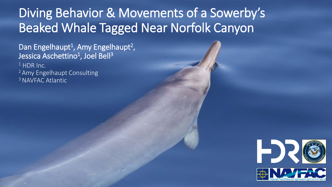# Diving Behavior & Movements of a Sowerby's Beaked Whale Tagged Near Norfolk Canyon

Dan Engelhaupt<sup>1</sup>, Amy Engelhaupt<sup>2</sup>, Jessica Aschettino<sup>1</sup>, Joel Bell<sup>3</sup> <sup>1</sup> HDR Inc. 2 Amy Engelhaupt Consulting <sup>3</sup> NAVFAC Atlantic

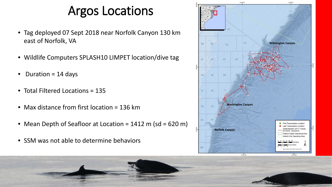#### Argos Locations

- Tag deployed 07 Sept 2018 near Norfolk Canyon 130 km east of Norfolk, VA
- Wildlife Computers SPLASH10 LIMPET location/dive tag
- Duration = 14 days
- Total Filtered Locations = 135
- Max distance from first location = 136 km
- Mean Depth of Seafloor at Location = 1412 m (sd = 620 m)
- SSM was not able to determine behaviors

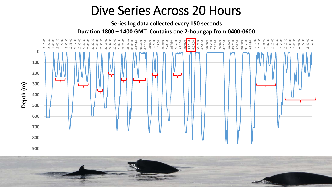#### Dive Series Across 20 Hours

**Series log data collected every 150 seconds**

**Duration 1800 – 1400 GMT: Contains one 2-hour gap from 0400-0600**

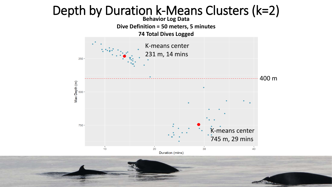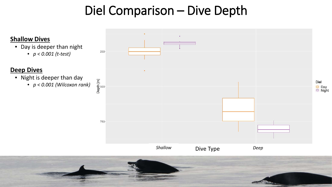### Diel Comparison – Dive Depth

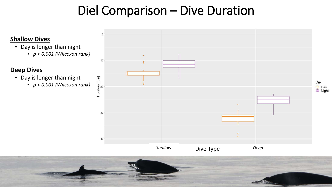### Diel Comparison – Dive Duration

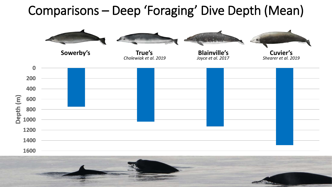# Comparisons – Deep 'Foraging' Dive Depth (Mean)



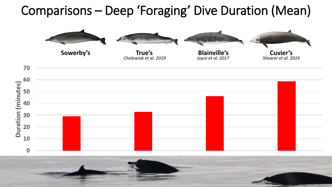## Comparisons – Deep 'Foraging' Dive Duration (Mean)

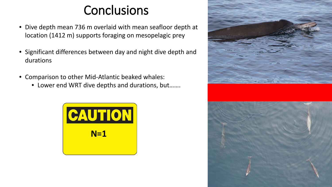### **Conclusions**

- Dive depth mean 736 m overlaid with mean seafloor depth at location (1412 m) supports foraging on mesopelagic prey
- Significant differences between day and night dive depth and durations
- Comparison to other Mid-Atlantic beaked whales:
	- Lower end WRT dive depths and durations, but…….